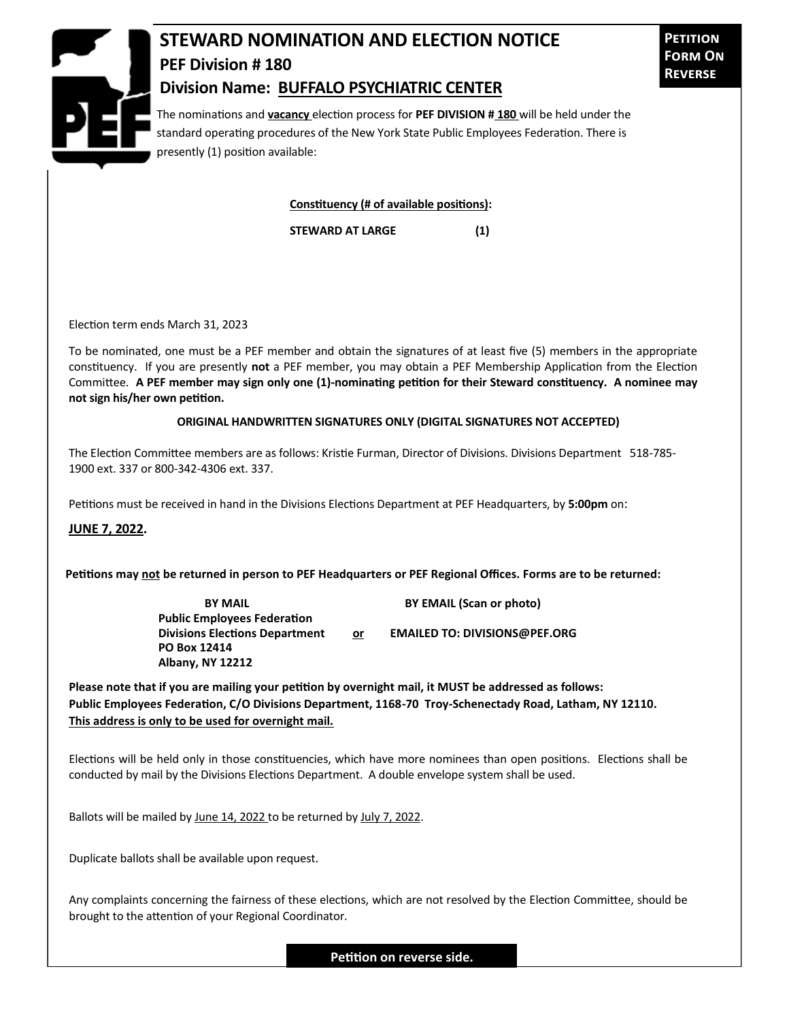

## **STEWARD NOMINATION AND ELECTION NOTICE PEF Division # 180 Division Name: BUFFALO PSYCHIATRIC CENTER**

The nominations and **vacancy** election process for **PEF DIVISION # 180** will be held under the standard operating procedures of the New York State Public Employees Federation. There is presently (1) position available:

**Constituency (# of available positions):**

**STEWARD AT LARGE (1)**

Election term ends March 31, 2023

To be nominated, one must be a PEF member and obtain the signatures of at least five (5) members in the appropriate constituency. If you are presently **not** a PEF member, you may obtain a PEF Membership Application from the Election Committee. **A PEF member may sign only one (1)-nominating petition for their Steward constituency. A nominee may not sign his/her own petition.**

## **ORIGINAL HANDWRITTEN SIGNATURES ONLY (DIGITAL SIGNATURES NOT ACCEPTED)**

The Election Committee members are as follows: Kristie Furman, Director of Divisions. Divisions Department 518-785- 1900 ext. 337 or 800-342-4306 ext. 337.

Petitions must be received in hand in the Divisions Elections Department at PEF Headquarters, by **5:00pm** on:

**JUNE 7, 2022.**

**Petitions may not be returned in person to PEF Headquarters or PEF Regional Offices. Forms are to be returned:**

**Public Employees Federation PO Box 12414 Albany, NY 12212**

**BY MAIL BY EMAIL (Scan or photo)** 

**Divisions Elections Department or EMAILED TO: DIVISIONS@PEF.ORG**

**Please note that if you are mailing your petition by overnight mail, it MUST be addressed as follows: Public Employees Federation, C/O Divisions Department, 1168-70 Troy-Schenectady Road, Latham, NY 12110. This address is only to be used for overnight mail.**

Elections will be held only in those constituencies, which have more nominees than open positions. Elections shall be conducted by mail by the Divisions Elections Department. A double envelope system shall be used.

Ballots will be mailed by June 14, 2022 to be returned by July 7, 2022.

Duplicate ballots shall be available upon request.

Any complaints concerning the fairness of these elections, which are not resolved by the Election Committee, should be brought to the attention of your Regional Coordinator.

**Petition on reverse side.**